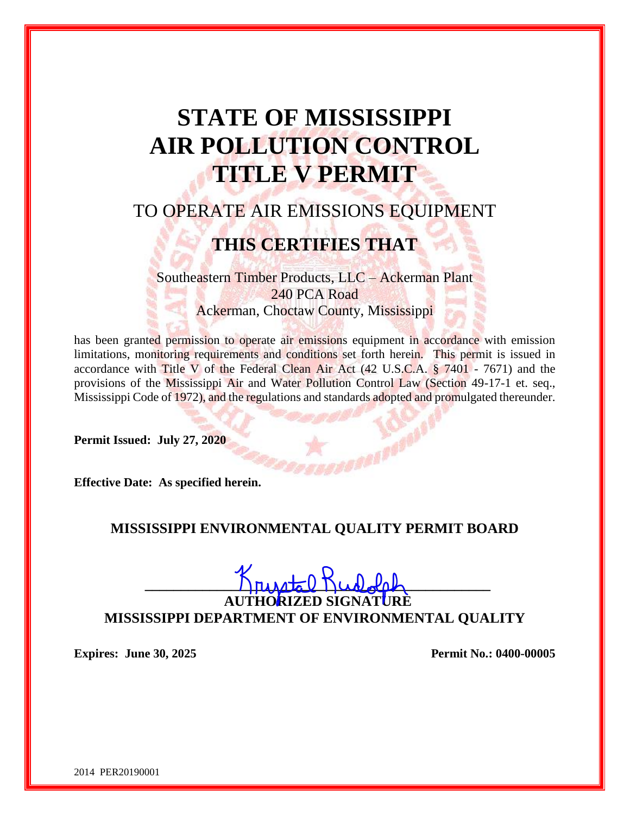# **STATE OF MISSISSIPPI AIR POLLUTION CONTROL TITLE V PERMIT**

# TO OPERATE AIR EMISSIONS EQUIPMENT

# **THIS CERTIFIES THAT**

Southeastern Timber Products, LLC – Ackerman Plant 240 PCA Road Ackerman, Choctaw County, Mississippi

has been granted permission to operate air emissions equipment in accordance with emission limitations, monitoring requirements and conditions set forth herein. This permit is issued in accordance with Title V of the Federal Clean Air Act  $(42 \text{ U.S.C.A. } $7401 - 7671)$  and the provisions of the Mississippi Air and Water Pollution Control Law (Section 49-17-1 et. seq., Mississippi Code of 1972), and the regulations and standards adopted and promulgated thereunder.

**Permit Issued: July 27, 2020**

**Effective Date: As specified herein.**

## **MISSISSIPPI ENVIRONMENTAL QUALITY PERMIT BOARD**

 $\sum_{\mu}$ 

**AUTHORIZED SIGNATURE MISSISSIPPI DEPARTMENT OF ENVIRONMENTAL QUALITY**

**Expires: June 30, 2025 Permit No.: 0400-00005**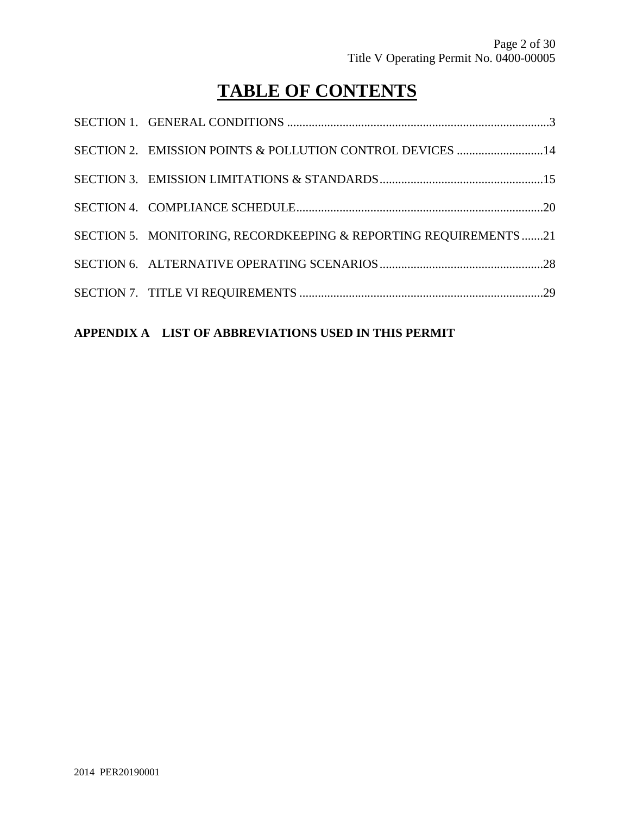# **TABLE OF CONTENTS**

| SECTION 2. EMISSION POINTS & POLLUTION CONTROL DEVICES 14       |  |
|-----------------------------------------------------------------|--|
|                                                                 |  |
|                                                                 |  |
| SECTION 5. MONITORING, RECORDKEEPING & REPORTING REQUIREMENTS21 |  |
|                                                                 |  |
|                                                                 |  |

## **APPENDIX A LIST OF ABBREVIATIONS USED IN THIS PERMIT**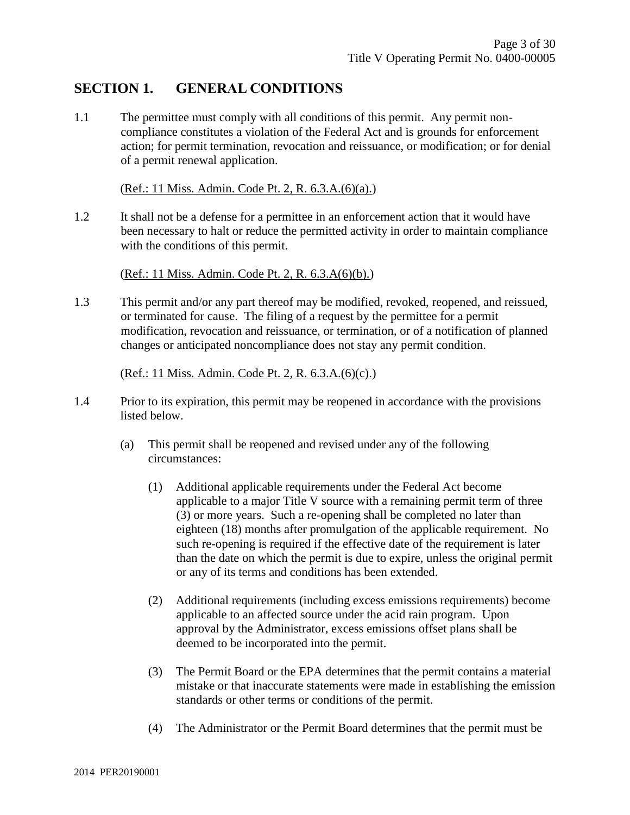## **SECTION 1. GENERAL CONDITIONS**

1.1 The permittee must comply with all conditions of this permit. Any permit noncompliance constitutes a violation of the Federal Act and is grounds for enforcement action; for permit termination, revocation and reissuance, or modification; or for denial of a permit renewal application.

(Ref.: 11 Miss. Admin. Code Pt. 2, R. 6.3.A.(6)(a).)

1.2 It shall not be a defense for a permittee in an enforcement action that it would have been necessary to halt or reduce the permitted activity in order to maintain compliance with the conditions of this permit.

(Ref.: 11 Miss. Admin. Code Pt. 2, R. 6.3.A(6)(b).)

1.3 This permit and/or any part thereof may be modified, revoked, reopened, and reissued, or terminated for cause. The filing of a request by the permittee for a permit modification, revocation and reissuance, or termination, or of a notification of planned changes or anticipated noncompliance does not stay any permit condition.

(Ref.: 11 Miss. Admin. Code Pt. 2, R. 6.3.A.(6)(c).)

- 1.4 Prior to its expiration, this permit may be reopened in accordance with the provisions listed below.
	- (a) This permit shall be reopened and revised under any of the following circumstances:
		- (1) Additional applicable requirements under the Federal Act become applicable to a major Title V source with a remaining permit term of three (3) or more years. Such a re-opening shall be completed no later than eighteen (18) months after promulgation of the applicable requirement. No such re-opening is required if the effective date of the requirement is later than the date on which the permit is due to expire, unless the original permit or any of its terms and conditions has been extended.
		- (2) Additional requirements (including excess emissions requirements) become applicable to an affected source under the acid rain program. Upon approval by the Administrator, excess emissions offset plans shall be deemed to be incorporated into the permit.
		- (3) The Permit Board or the EPA determines that the permit contains a material mistake or that inaccurate statements were made in establishing the emission standards or other terms or conditions of the permit.
		- (4) The Administrator or the Permit Board determines that the permit must be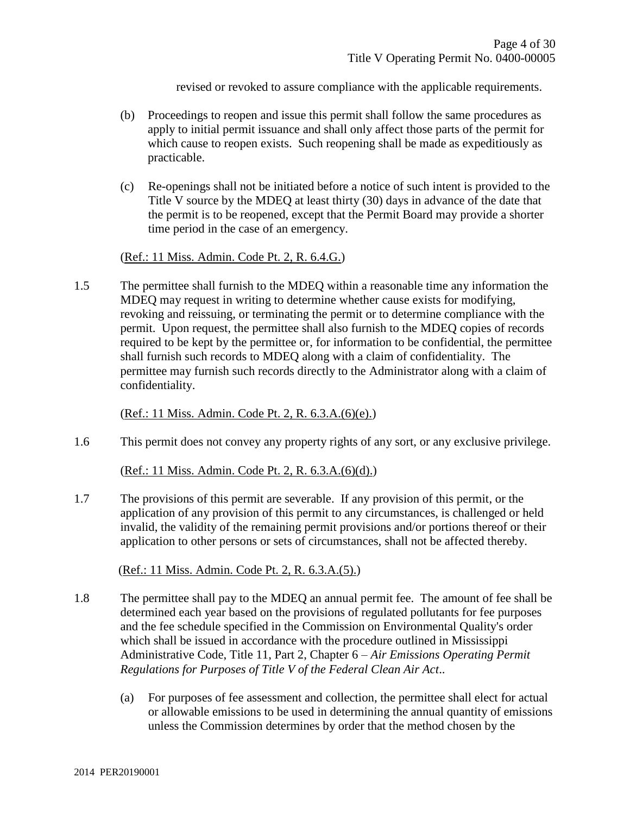revised or revoked to assure compliance with the applicable requirements.

- (b) Proceedings to reopen and issue this permit shall follow the same procedures as apply to initial permit issuance and shall only affect those parts of the permit for which cause to reopen exists. Such reopening shall be made as expeditiously as practicable.
- (c) Re-openings shall not be initiated before a notice of such intent is provided to the Title V source by the MDEQ at least thirty (30) days in advance of the date that the permit is to be reopened, except that the Permit Board may provide a shorter time period in the case of an emergency.

(Ref.: 11 Miss. Admin. Code Pt. 2, R. 6.4.G.)

1.5 The permittee shall furnish to the MDEQ within a reasonable time any information the MDEQ may request in writing to determine whether cause exists for modifying, revoking and reissuing, or terminating the permit or to determine compliance with the permit. Upon request, the permittee shall also furnish to the MDEQ copies of records required to be kept by the permittee or, for information to be confidential, the permittee shall furnish such records to MDEQ along with a claim of confidentiality. The permittee may furnish such records directly to the Administrator along with a claim of confidentiality.

(Ref.: 11 Miss. Admin. Code Pt. 2, R. 6.3.A.(6)(e).)

1.6 This permit does not convey any property rights of any sort, or any exclusive privilege.

(Ref.: 11 Miss. Admin. Code Pt. 2, R. 6.3.A.(6)(d).)

1.7 The provisions of this permit are severable. If any provision of this permit, or the application of any provision of this permit to any circumstances, is challenged or held invalid, the validity of the remaining permit provisions and/or portions thereof or their application to other persons or sets of circumstances, shall not be affected thereby.

(Ref.: 11 Miss. Admin. Code Pt. 2, R. 6.3.A.(5).)

- 1.8 The permittee shall pay to the MDEQ an annual permit fee. The amount of fee shall be determined each year based on the provisions of regulated pollutants for fee purposes and the fee schedule specified in the Commission on Environmental Quality's order which shall be issued in accordance with the procedure outlined in Mississippi Administrative Code, Title 11, Part 2, Chapter 6 – *Air Emissions Operating Permit Regulations for Purposes of Title V of the Federal Clean Air Act*..
	- (a) For purposes of fee assessment and collection, the permittee shall elect for actual or allowable emissions to be used in determining the annual quantity of emissions unless the Commission determines by order that the method chosen by the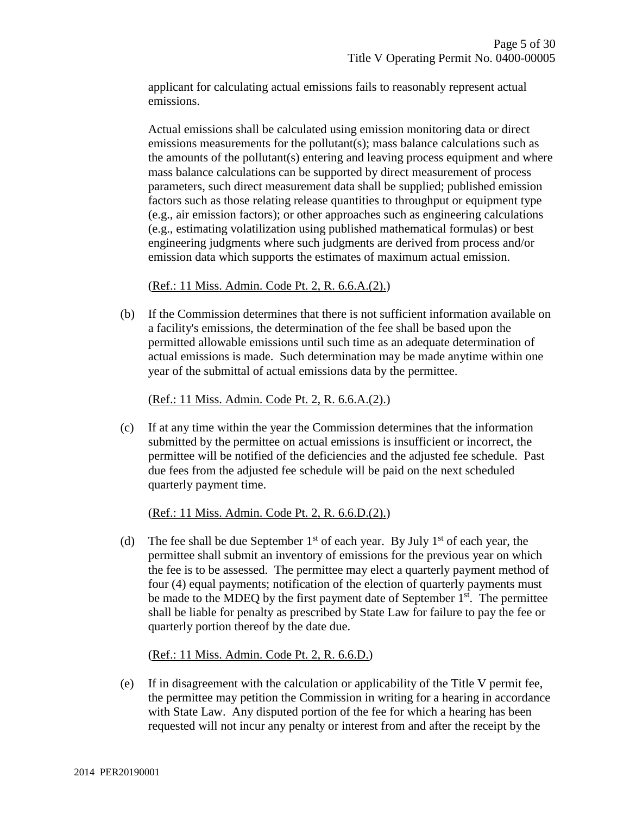applicant for calculating actual emissions fails to reasonably represent actual emissions.

Actual emissions shall be calculated using emission monitoring data or direct emissions measurements for the pollutant(s); mass balance calculations such as the amounts of the pollutant(s) entering and leaving process equipment and where mass balance calculations can be supported by direct measurement of process parameters, such direct measurement data shall be supplied; published emission factors such as those relating release quantities to throughput or equipment type (e.g., air emission factors); or other approaches such as engineering calculations (e.g., estimating volatilization using published mathematical formulas) or best engineering judgments where such judgments are derived from process and/or emission data which supports the estimates of maximum actual emission.

(Ref.: 11 Miss. Admin. Code Pt. 2, R. 6.6.A.(2).)

(b) If the Commission determines that there is not sufficient information available on a facility's emissions, the determination of the fee shall be based upon the permitted allowable emissions until such time as an adequate determination of actual emissions is made. Such determination may be made anytime within one year of the submittal of actual emissions data by the permittee.

(Ref.: 11 Miss. Admin. Code Pt. 2, R. 6.6.A.(2).)

(c) If at any time within the year the Commission determines that the information submitted by the permittee on actual emissions is insufficient or incorrect, the permittee will be notified of the deficiencies and the adjusted fee schedule. Past due fees from the adjusted fee schedule will be paid on the next scheduled quarterly payment time.

(Ref.: 11 Miss. Admin. Code Pt. 2, R. 6.6.D.(2).)

(d) The fee shall be due September  $1<sup>st</sup>$  of each year. By July  $1<sup>st</sup>$  of each year, the permittee shall submit an inventory of emissions for the previous year on which the fee is to be assessed. The permittee may elect a quarterly payment method of four (4) equal payments; notification of the election of quarterly payments must be made to the MDEQ by the first payment date of September  $1<sup>st</sup>$ . The permittee shall be liable for penalty as prescribed by State Law for failure to pay the fee or quarterly portion thereof by the date due.

(Ref.: 11 Miss. Admin. Code Pt. 2, R. 6.6.D.)

(e) If in disagreement with the calculation or applicability of the Title V permit fee, the permittee may petition the Commission in writing for a hearing in accordance with State Law. Any disputed portion of the fee for which a hearing has been requested will not incur any penalty or interest from and after the receipt by the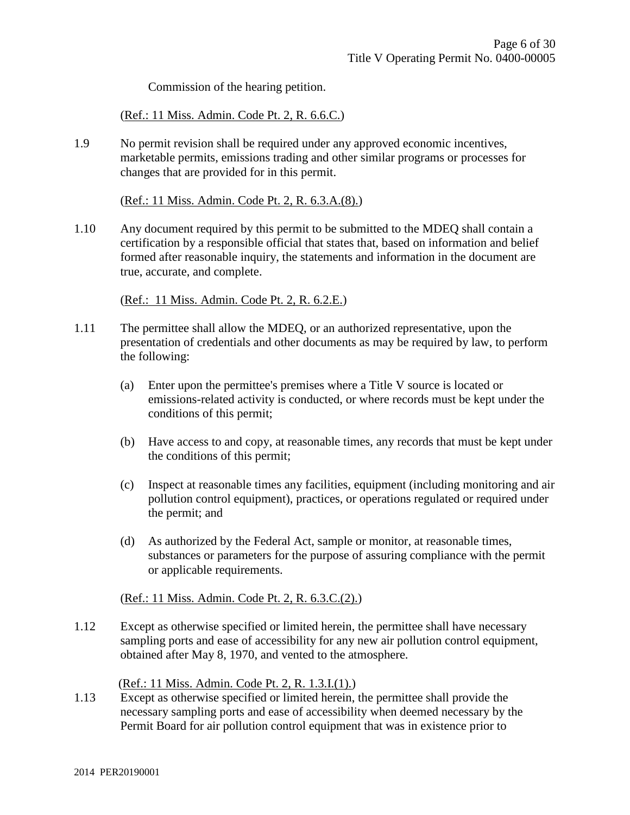Commission of the hearing petition.

(Ref.: 11 Miss. Admin. Code Pt. 2, R. 6.6.C.)

1.9 No permit revision shall be required under any approved economic incentives, marketable permits, emissions trading and other similar programs or processes for changes that are provided for in this permit.

(Ref.: 11 Miss. Admin. Code Pt. 2, R. 6.3.A.(8).)

1.10 Any document required by this permit to be submitted to the MDEQ shall contain a certification by a responsible official that states that, based on information and belief formed after reasonable inquiry, the statements and information in the document are true, accurate, and complete.

(Ref.: 11 Miss. Admin. Code Pt. 2, R. 6.2.E.)

- 1.11 The permittee shall allow the MDEQ, or an authorized representative, upon the presentation of credentials and other documents as may be required by law, to perform the following:
	- (a) Enter upon the permittee's premises where a Title V source is located or emissions-related activity is conducted, or where records must be kept under the conditions of this permit;
	- (b) Have access to and copy, at reasonable times, any records that must be kept under the conditions of this permit;
	- (c) Inspect at reasonable times any facilities, equipment (including monitoring and air pollution control equipment), practices, or operations regulated or required under the permit; and
	- (d) As authorized by the Federal Act, sample or monitor, at reasonable times, substances or parameters for the purpose of assuring compliance with the permit or applicable requirements.

#### (Ref.: 11 Miss. Admin. Code Pt. 2, R. 6.3.C.(2).)

1.12 Except as otherwise specified or limited herein, the permittee shall have necessary sampling ports and ease of accessibility for any new air pollution control equipment, obtained after May 8, 1970, and vented to the atmosphere.

(Ref.: 11 Miss. Admin. Code Pt. 2, R. 1.3.I.(1).)

1.13 Except as otherwise specified or limited herein, the permittee shall provide the necessary sampling ports and ease of accessibility when deemed necessary by the Permit Board for air pollution control equipment that was in existence prior to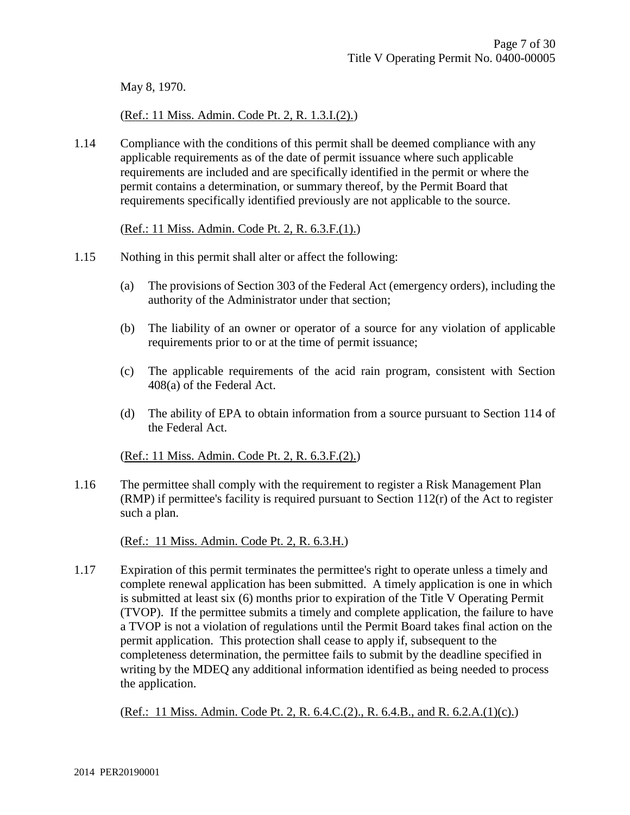May 8, 1970.

(Ref.: 11 Miss. Admin. Code Pt. 2, R. 1.3.I.(2).)

1.14 Compliance with the conditions of this permit shall be deemed compliance with any applicable requirements as of the date of permit issuance where such applicable requirements are included and are specifically identified in the permit or where the permit contains a determination, or summary thereof, by the Permit Board that requirements specifically identified previously are not applicable to the source.

(Ref.: 11 Miss. Admin. Code Pt. 2, R. 6.3.F.(1).)

- 1.15 Nothing in this permit shall alter or affect the following:
	- (a) The provisions of Section 303 of the Federal Act (emergency orders), including the authority of the Administrator under that section;
	- (b) The liability of an owner or operator of a source for any violation of applicable requirements prior to or at the time of permit issuance;
	- (c) The applicable requirements of the acid rain program, consistent with Section 408(a) of the Federal Act.
	- (d) The ability of EPA to obtain information from a source pursuant to Section 114 of the Federal Act.

(Ref.: 11 Miss. Admin. Code Pt. 2, R. 6.3.F.(2).)

1.16 The permittee shall comply with the requirement to register a Risk Management Plan (RMP) if permittee's facility is required pursuant to Section 112(r) of the Act to register such a plan.

(Ref.: 11 Miss. Admin. Code Pt. 2, R. 6.3.H.)

1.17 Expiration of this permit terminates the permittee's right to operate unless a timely and complete renewal application has been submitted. A timely application is one in which is submitted at least six (6) months prior to expiration of the Title V Operating Permit (TVOP). If the permittee submits a timely and complete application, the failure to have a TVOP is not a violation of regulations until the Permit Board takes final action on the permit application. This protection shall cease to apply if, subsequent to the completeness determination, the permittee fails to submit by the deadline specified in writing by the MDEQ any additional information identified as being needed to process the application.

(Ref.: 11 Miss. Admin. Code Pt. 2, R. 6.4.C.(2)., R. 6.4.B., and R. 6.2.A.(1)(c).)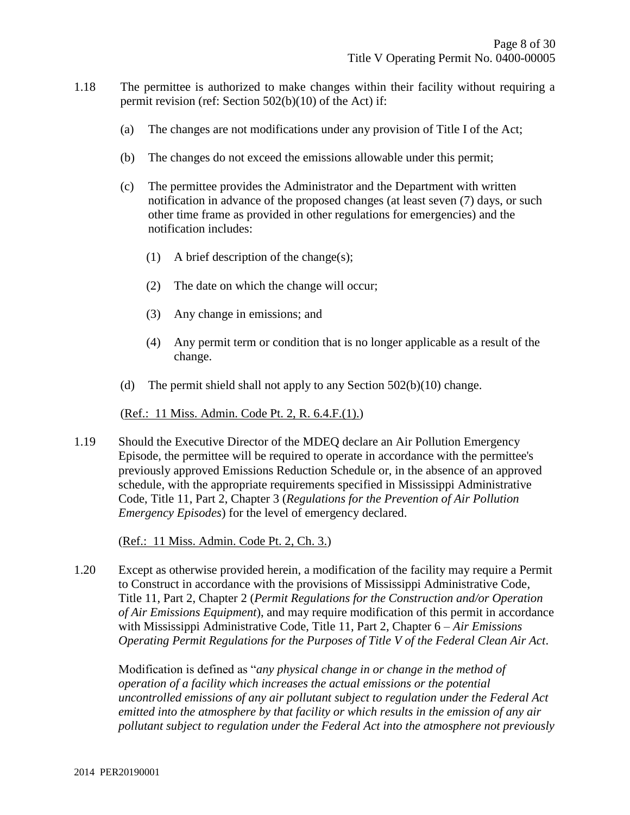- 1.18 The permittee is authorized to make changes within their facility without requiring a permit revision (ref: Section 502(b)(10) of the Act) if:
	- (a) The changes are not modifications under any provision of Title I of the Act;
	- (b) The changes do not exceed the emissions allowable under this permit;
	- (c) The permittee provides the Administrator and the Department with written notification in advance of the proposed changes (at least seven (7) days, or such other time frame as provided in other regulations for emergencies) and the notification includes:
		- (1) A brief description of the change(s);
		- (2) The date on which the change will occur;
		- (3) Any change in emissions; and
		- (4) Any permit term or condition that is no longer applicable as a result of the change.
	- (d) The permit shield shall not apply to any Section  $502(b)(10)$  change.

#### (Ref.: 11 Miss. Admin. Code Pt. 2, R. 6.4.F.(1).)

1.19 Should the Executive Director of the MDEQ declare an Air Pollution Emergency Episode, the permittee will be required to operate in accordance with the permittee's previously approved Emissions Reduction Schedule or, in the absence of an approved schedule, with the appropriate requirements specified in Mississippi Administrative Code, Title 11, Part 2, Chapter 3 (*Regulations for the Prevention of Air Pollution Emergency Episodes*) for the level of emergency declared.

(Ref.: 11 Miss. Admin. Code Pt. 2, Ch. 3.)

1.20 Except as otherwise provided herein, a modification of the facility may require a Permit to Construct in accordance with the provisions of Mississippi Administrative Code, Title 11, Part 2, Chapter 2 (*Permit Regulations for the Construction and/or Operation of Air Emissions Equipment*), and may require modification of this permit in accordance with Mississippi Administrative Code, Title 11, Part 2, Chapter 6 – *Air Emissions Operating Permit Regulations for the Purposes of Title V of the Federal Clean Air Act*.

Modification is defined as "*any physical change in or change in the method of operation of a facility which increases the actual emissions or the potential uncontrolled emissions of any air pollutant subject to regulation under the Federal Act emitted into the atmosphere by that facility or which results in the emission of any air pollutant subject to regulation under the Federal Act into the atmosphere not previously*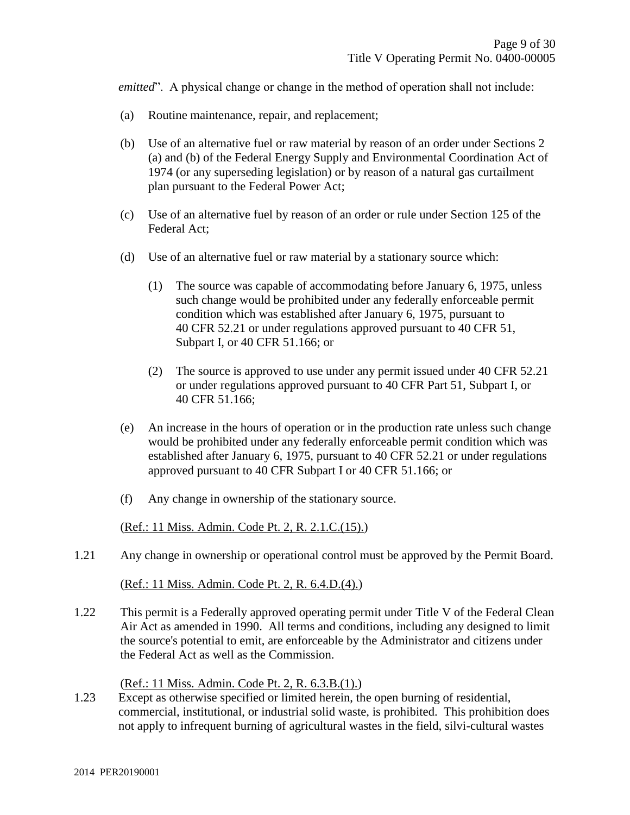*emitted*". A physical change or change in the method of operation shall not include:

- (a) Routine maintenance, repair, and replacement;
- (b) Use of an alternative fuel or raw material by reason of an order under Sections 2 (a) and (b) of the Federal Energy Supply and Environmental Coordination Act of 1974 (or any superseding legislation) or by reason of a natural gas curtailment plan pursuant to the Federal Power Act;
- (c) Use of an alternative fuel by reason of an order or rule under Section 125 of the Federal Act;
- (d) Use of an alternative fuel or raw material by a stationary source which:
	- (1) The source was capable of accommodating before January 6, 1975, unless such change would be prohibited under any federally enforceable permit condition which was established after January 6, 1975, pursuant to 40 CFR 52.21 or under regulations approved pursuant to 40 CFR 51, Subpart I, or 40 CFR 51.166; or
	- (2) The source is approved to use under any permit issued under 40 CFR 52.21 or under regulations approved pursuant to 40 CFR Part 51, Subpart I, or 40 CFR 51.166;
- (e) An increase in the hours of operation or in the production rate unless such change would be prohibited under any federally enforceable permit condition which was established after January 6, 1975, pursuant to 40 CFR 52.21 or under regulations approved pursuant to 40 CFR Subpart I or 40 CFR 51.166; or
- (f) Any change in ownership of the stationary source.

(Ref.: 11 Miss. Admin. Code Pt. 2, R. 2.1.C.(15).)

1.21 Any change in ownership or operational control must be approved by the Permit Board.

(Ref.: 11 Miss. Admin. Code Pt. 2, R. 6.4.D.(4).)

1.22 This permit is a Federally approved operating permit under Title V of the Federal Clean Air Act as amended in 1990. All terms and conditions, including any designed to limit the source's potential to emit, are enforceable by the Administrator and citizens under the Federal Act as well as the Commission.

(Ref.: 11 Miss. Admin. Code Pt. 2, R. 6.3.B.(1).)

1.23 Except as otherwise specified or limited herein, the open burning of residential, commercial, institutional, or industrial solid waste, is prohibited. This prohibition does not apply to infrequent burning of agricultural wastes in the field, silvi-cultural wastes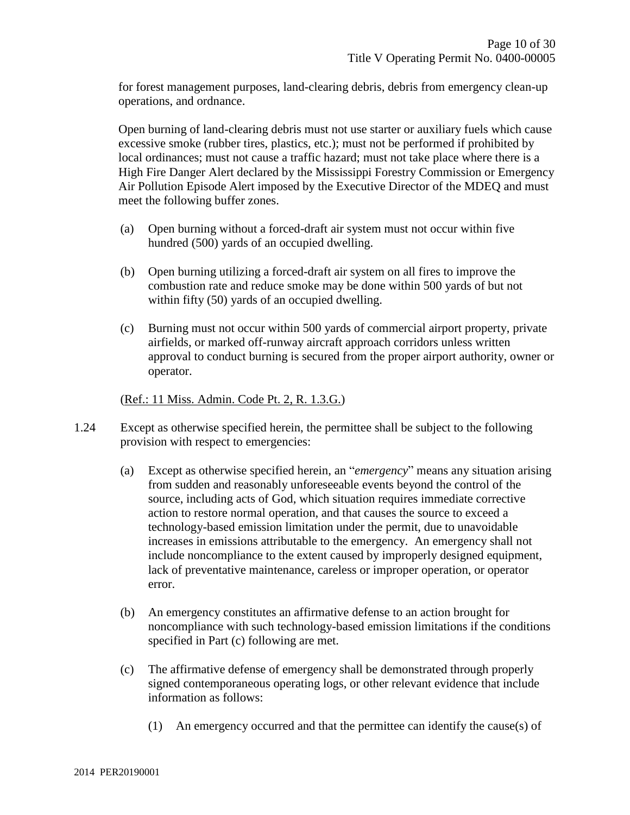for forest management purposes, land-clearing debris, debris from emergency clean-up operations, and ordnance.

Open burning of land-clearing debris must not use starter or auxiliary fuels which cause excessive smoke (rubber tires, plastics, etc.); must not be performed if prohibited by local ordinances; must not cause a traffic hazard; must not take place where there is a High Fire Danger Alert declared by the Mississippi Forestry Commission or Emergency Air Pollution Episode Alert imposed by the Executive Director of the MDEQ and must meet the following buffer zones.

- (a) Open burning without a forced-draft air system must not occur within five hundred (500) yards of an occupied dwelling.
- (b) Open burning utilizing a forced-draft air system on all fires to improve the combustion rate and reduce smoke may be done within 500 yards of but not within fifty (50) yards of an occupied dwelling.
- (c) Burning must not occur within 500 yards of commercial airport property, private airfields, or marked off-runway aircraft approach corridors unless written approval to conduct burning is secured from the proper airport authority, owner or operator.

(Ref.: 11 Miss. Admin. Code Pt. 2, R. 1.3.G.)

- 1.24 Except as otherwise specified herein, the permittee shall be subject to the following provision with respect to emergencies:
	- (a) Except as otherwise specified herein, an "*emergency*" means any situation arising from sudden and reasonably unforeseeable events beyond the control of the source, including acts of God, which situation requires immediate corrective action to restore normal operation, and that causes the source to exceed a technology-based emission limitation under the permit, due to unavoidable increases in emissions attributable to the emergency. An emergency shall not include noncompliance to the extent caused by improperly designed equipment, lack of preventative maintenance, careless or improper operation, or operator error.
	- (b) An emergency constitutes an affirmative defense to an action brought for noncompliance with such technology-based emission limitations if the conditions specified in Part (c) following are met.
	- (c) The affirmative defense of emergency shall be demonstrated through properly signed contemporaneous operating logs, or other relevant evidence that include information as follows:
		- (1) An emergency occurred and that the permittee can identify the cause(s) of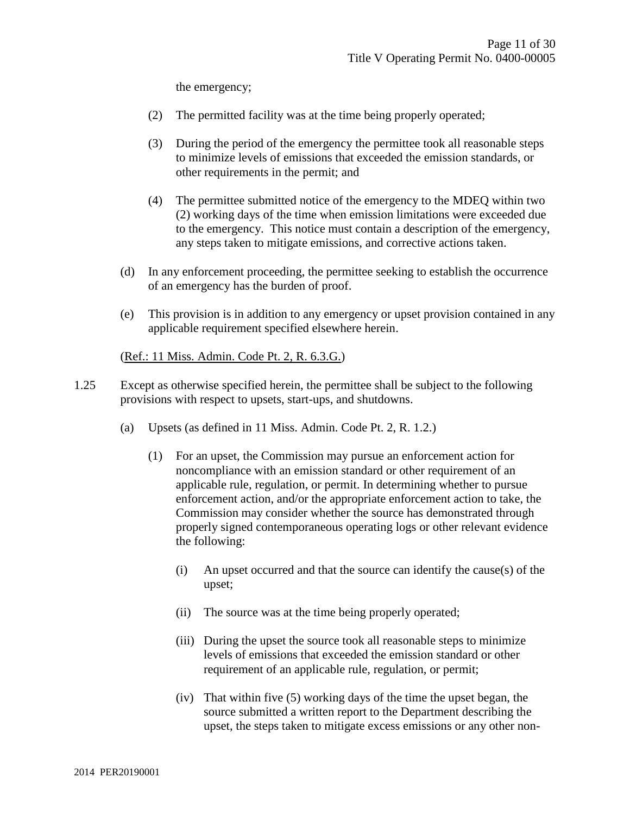the emergency;

- (2) The permitted facility was at the time being properly operated;
- (3) During the period of the emergency the permittee took all reasonable steps to minimize levels of emissions that exceeded the emission standards, or other requirements in the permit; and
- (4) The permittee submitted notice of the emergency to the MDEQ within two (2) working days of the time when emission limitations were exceeded due to the emergency. This notice must contain a description of the emergency, any steps taken to mitigate emissions, and corrective actions taken.
- (d) In any enforcement proceeding, the permittee seeking to establish the occurrence of an emergency has the burden of proof.
- (e) This provision is in addition to any emergency or upset provision contained in any applicable requirement specified elsewhere herein.

(Ref.: 11 Miss. Admin. Code Pt. 2, R. 6.3.G.)

- 1.25 Except as otherwise specified herein, the permittee shall be subject to the following provisions with respect to upsets, start-ups, and shutdowns.
	- (a) Upsets (as defined in 11 Miss. Admin. Code Pt. 2, R. 1.2.)
		- (1) For an upset, the Commission may pursue an enforcement action for noncompliance with an emission standard or other requirement of an applicable rule, regulation, or permit. In determining whether to pursue enforcement action, and/or the appropriate enforcement action to take, the Commission may consider whether the source has demonstrated through properly signed contemporaneous operating logs or other relevant evidence the following:
			- (i) An upset occurred and that the source can identify the cause(s) of the upset;
			- (ii) The source was at the time being properly operated;
			- (iii) During the upset the source took all reasonable steps to minimize levels of emissions that exceeded the emission standard or other requirement of an applicable rule, regulation, or permit;
			- (iv) That within five (5) working days of the time the upset began, the source submitted a written report to the Department describing the upset, the steps taken to mitigate excess emissions or any other non-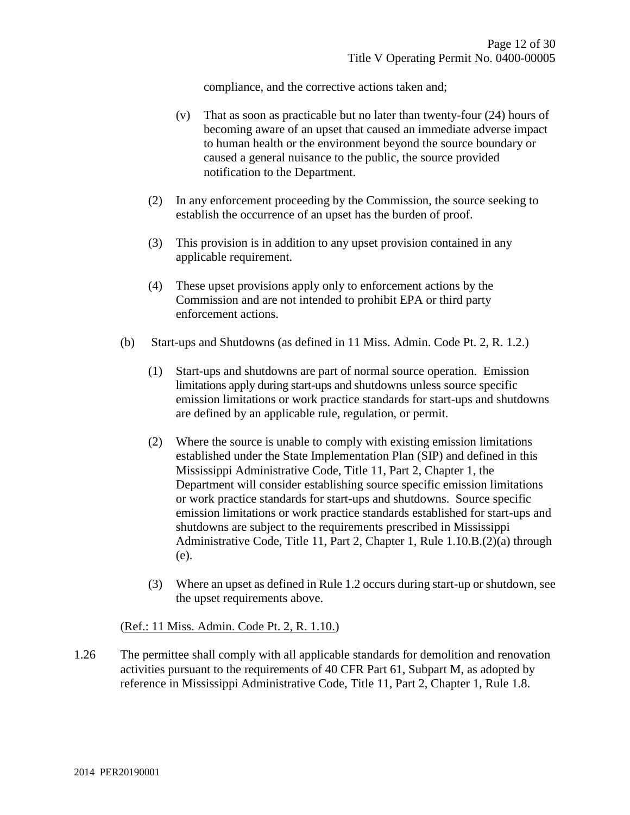compliance, and the corrective actions taken and;

- (v) That as soon as practicable but no later than twenty-four (24) hours of becoming aware of an upset that caused an immediate adverse impact to human health or the environment beyond the source boundary or caused a general nuisance to the public, the source provided notification to the Department.
- (2) In any enforcement proceeding by the Commission, the source seeking to establish the occurrence of an upset has the burden of proof.
- (3) This provision is in addition to any upset provision contained in any applicable requirement.
- (4) These upset provisions apply only to enforcement actions by the Commission and are not intended to prohibit EPA or third party enforcement actions.
- (b) Start-ups and Shutdowns (as defined in 11 Miss. Admin. Code Pt. 2, R. 1.2.)
	- (1) Start-ups and shutdowns are part of normal source operation. Emission limitations apply during start-ups and shutdowns unless source specific emission limitations or work practice standards for start-ups and shutdowns are defined by an applicable rule, regulation, or permit.
	- (2) Where the source is unable to comply with existing emission limitations established under the State Implementation Plan (SIP) and defined in this Mississippi Administrative Code, Title 11, Part 2, Chapter 1, the Department will consider establishing source specific emission limitations or work practice standards for start-ups and shutdowns. Source specific emission limitations or work practice standards established for start-ups and shutdowns are subject to the requirements prescribed in Mississippi Administrative Code, Title 11, Part 2, Chapter 1, Rule 1.10.B.(2)(a) through (e).
	- (3) Where an upset as defined in Rule 1.2 occurs during start-up or shutdown, see the upset requirements above.

#### (Ref.: 11 Miss. Admin. Code Pt. 2, R. 1.10.)

1.26 The permittee shall comply with all applicable standards for demolition and renovation activities pursuant to the requirements of 40 CFR Part 61, Subpart M, as adopted by reference in Mississippi Administrative Code, Title 11, Part 2, Chapter 1, Rule 1.8.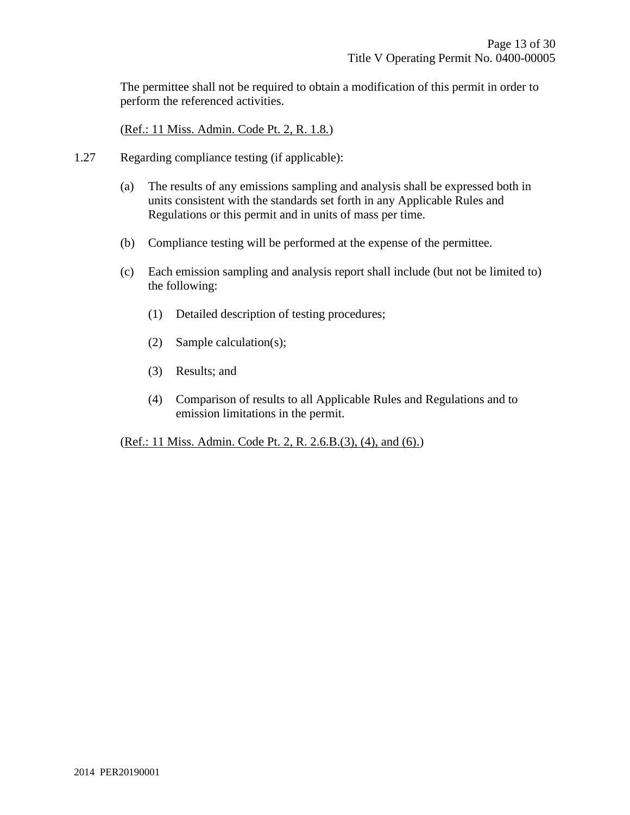The permittee shall not be required to obtain a modification of this permit in order to perform the referenced activities.

(Ref.: 11 Miss. Admin. Code Pt. 2, R. 1.8.)

- 1.27 Regarding compliance testing (if applicable):
	- (a) The results of any emissions sampling and analysis shall be expressed both in units consistent with the standards set forth in any Applicable Rules and Regulations or this permit and in units of mass per time.
	- (b) Compliance testing will be performed at the expense of the permittee.
	- (c) Each emission sampling and analysis report shall include (but not be limited to) the following:
		- (1) Detailed description of testing procedures;
		- (2) Sample calculation(s);
		- (3) Results; and
		- (4) Comparison of results to all Applicable Rules and Regulations and to emission limitations in the permit.

(Ref.: 11 Miss. Admin. Code Pt. 2, R. 2.6.B.(3), (4), and (6).)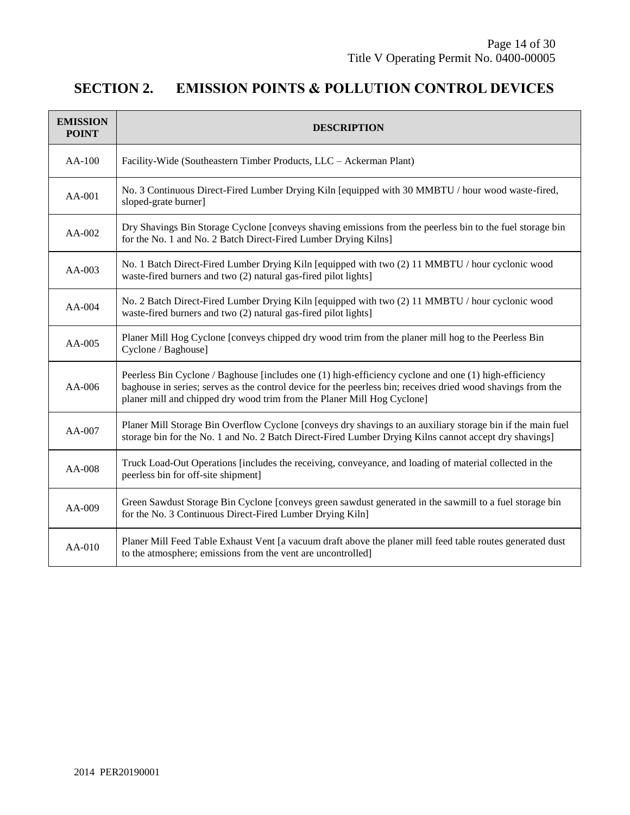# **SECTION 2. EMISSION POINTS & POLLUTION CONTROL DEVICES**

| <b>EMISSION</b><br><b>POINT</b> | <b>DESCRIPTION</b>                                                                                                                                                                                                                                                                               |
|---------------------------------|--------------------------------------------------------------------------------------------------------------------------------------------------------------------------------------------------------------------------------------------------------------------------------------------------|
| $AA-100$                        | Facility-Wide (Southeastern Timber Products, LLC - Ackerman Plant)                                                                                                                                                                                                                               |
| AA-001                          | No. 3 Continuous Direct-Fired Lumber Drying Kiln [equipped with 30 MMBTU / hour wood waste-fired,<br>sloped-grate burner]                                                                                                                                                                        |
| $AA-002$                        | Dry Shavings Bin Storage Cyclone [conveys shaving emissions from the peerless bin to the fuel storage bin<br>for the No. 1 and No. 2 Batch Direct-Fired Lumber Drying Kilns]                                                                                                                     |
| $AA-003$                        | No. 1 Batch Direct-Fired Lumber Drying Kiln [equipped with two (2) 11 MMBTU / hour cyclonic wood<br>waste-fired burners and two (2) natural gas-fired pilot lights]                                                                                                                              |
| AA-004                          | No. 2 Batch Direct-Fired Lumber Drying Kiln [equipped with two (2) 11 MMBTU / hour cyclonic wood<br>waste-fired burners and two (2) natural gas-fired pilot lights]                                                                                                                              |
| $AA-005$                        | Planer Mill Hog Cyclone [conveys chipped dry wood trim from the planer mill hog to the Peerless Bin<br>Cyclone / Baghouse]                                                                                                                                                                       |
| AA-006                          | Peerless Bin Cyclone / Baghouse [includes one (1) high-efficiency cyclone and one (1) high-efficiency<br>baghouse in series; serves as the control device for the peerless bin; receives dried wood shavings from the<br>planer mill and chipped dry wood trim from the Planer Mill Hog Cyclone] |
| $AA-007$                        | Planer Mill Storage Bin Overflow Cyclone [conveys dry shavings to an auxiliary storage bin if the main fuel<br>storage bin for the No. 1 and No. 2 Batch Direct-Fired Lumber Drying Kilns cannot accept dry shavings]                                                                            |
| $AA-008$                        | Truck Load-Out Operations [includes the receiving, conveyance, and loading of material collected in the<br>peerless bin for off-site shipment]                                                                                                                                                   |
| $AA-009$                        | Green Sawdust Storage Bin Cyclone [conveys green sawdust generated in the sawmill to a fuel storage bin<br>for the No. 3 Continuous Direct-Fired Lumber Drying Kiln]                                                                                                                             |
| $AA-010$                        | Planer Mill Feed Table Exhaust Vent [a vacuum draft above the planer mill feed table routes generated dust<br>to the atmosphere; emissions from the vent are uncontrolled]                                                                                                                       |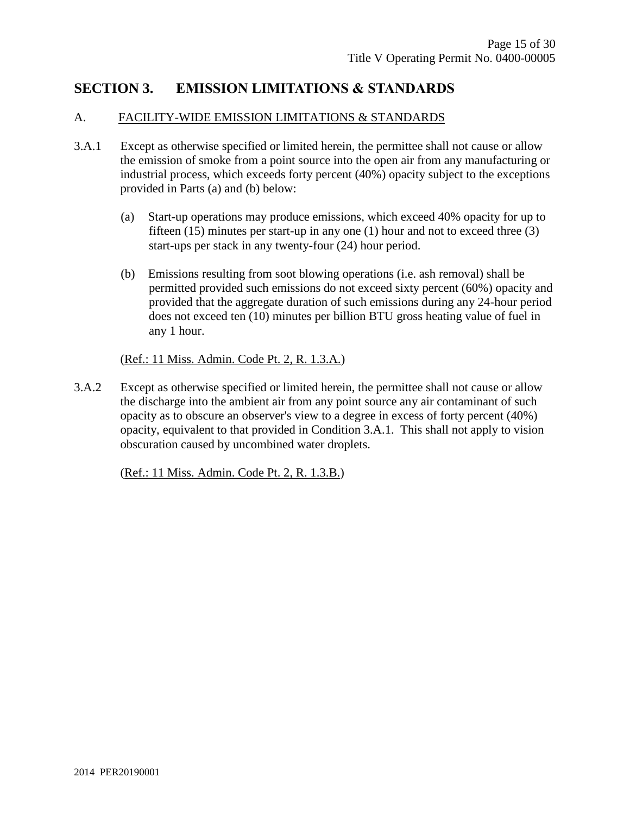## **SECTION 3. EMISSION LIMITATIONS & STANDARDS**

#### A. FACILITY-WIDE EMISSION LIMITATIONS & STANDARDS

- 3.A.1 Except as otherwise specified or limited herein, the permittee shall not cause or allow the emission of smoke from a point source into the open air from any manufacturing or industrial process, which exceeds forty percent (40%) opacity subject to the exceptions provided in Parts (a) and (b) below:
	- (a) Start-up operations may produce emissions, which exceed 40% opacity for up to fifteen (15) minutes per start-up in any one (1) hour and not to exceed three (3) start-ups per stack in any twenty-four (24) hour period.
	- (b) Emissions resulting from soot blowing operations (i.e. ash removal) shall be permitted provided such emissions do not exceed sixty percent (60%) opacity and provided that the aggregate duration of such emissions during any 24-hour period does not exceed ten (10) minutes per billion BTU gross heating value of fuel in any 1 hour.

(Ref.: 11 Miss. Admin. Code Pt. 2, R. 1.3.A.)

3.A.2 Except as otherwise specified or limited herein, the permittee shall not cause or allow the discharge into the ambient air from any point source any air contaminant of such opacity as to obscure an observer's view to a degree in excess of forty percent (40%) opacity, equivalent to that provided in Condition 3.A.1. This shall not apply to vision obscuration caused by uncombined water droplets.

(Ref.: 11 Miss. Admin. Code Pt. 2, R. 1.3.B.)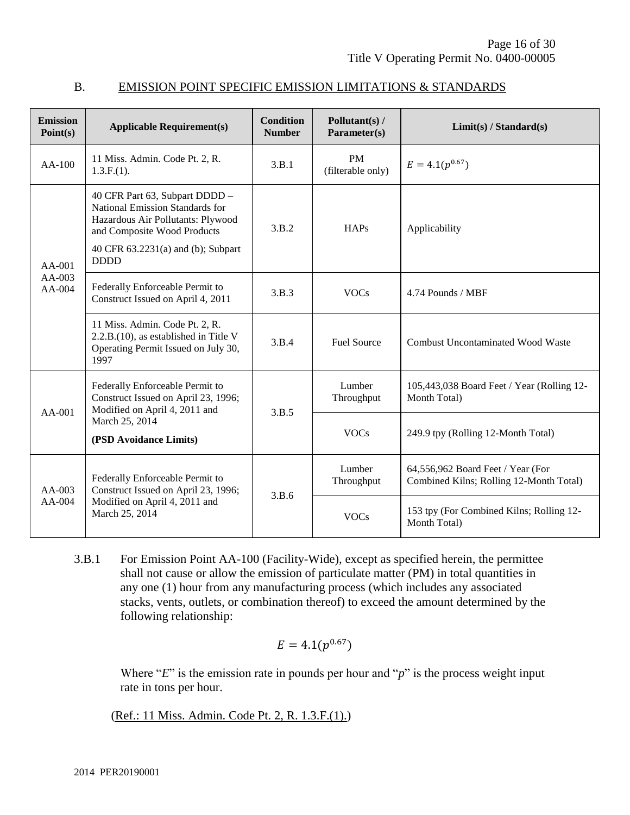| <b>Emission</b><br>Point(s)  | <b>Applicable Requirement(s)</b>                                                                                                                                                           | <b>Condition</b><br><b>Number</b> | Pollutant(s) /<br>Parameter(s) | Limit(s) / Standard(s)                                                       |
|------------------------------|--------------------------------------------------------------------------------------------------------------------------------------------------------------------------------------------|-----------------------------------|--------------------------------|------------------------------------------------------------------------------|
| AA-100                       | 11 Miss. Admin. Code Pt. 2, R.<br>$1.3.F.(1)$ .                                                                                                                                            | 3.B.1                             | <b>PM</b><br>(filterable only) | $E = 4.1(p^{0.67})$                                                          |
| $AA-001$<br>AA-003<br>AA-004 | 40 CFR Part 63, Subpart DDDD -<br>National Emission Standards for<br>Hazardous Air Pollutants: Plywood<br>and Composite Wood Products<br>40 CFR 63.2231(a) and (b); Subpart<br><b>DDDD</b> | 3.B.2                             | <b>HAPs</b>                    | Applicability                                                                |
|                              | Federally Enforceable Permit to<br>Construct Issued on April 4, 2011                                                                                                                       | 3.B.3                             | <b>VOCs</b>                    | 4.74 Pounds / MBF                                                            |
|                              | 11 Miss. Admin. Code Pt. 2, R.<br>2.2.B.(10), as established in Title V<br>Operating Permit Issued on July 30,<br>1997                                                                     | 3.B.4                             | <b>Fuel Source</b>             | <b>Combust Uncontaminated Wood Waste</b>                                     |
| $AA-001$                     | Federally Enforceable Permit to<br>Construct Issued on April 23, 1996;<br>Modified on April 4, 2011 and                                                                                    | 3.B.5                             | Lumber<br>Throughput           | 105,443,038 Board Feet / Year (Rolling 12-<br>Month Total)                   |
|                              | March 25, 2014<br>(PSD Avoidance Limits)                                                                                                                                                   |                                   | <b>VOCs</b>                    | 249.9 tpy (Rolling 12-Month Total)                                           |
| $AA-003$<br>AA-004           | Federally Enforceable Permit to<br>Construct Issued on April 23, 1996;<br>Modified on April 4, 2011 and<br>March 25, 2014                                                                  | 3.B.6                             | Lumber<br>Throughput           | 64,556,962 Board Feet / Year (For<br>Combined Kilns; Rolling 12-Month Total) |
|                              |                                                                                                                                                                                            |                                   | <b>VOCs</b>                    | 153 tpy (For Combined Kilns; Rolling 12-<br>Month Total)                     |

#### B. EMISSION POINT SPECIFIC EMISSION LIMITATIONS & STANDARDS

3.B.1 For Emission Point AA-100 (Facility-Wide), except as specified herein, the permittee shall not cause or allow the emission of particulate matter (PM) in total quantities in any one (1) hour from any manufacturing process (which includes any associated stacks, vents, outlets, or combination thereof) to exceed the amount determined by the following relationship:

$$
E=4.1(p^{0.67})
$$

Where "*E*" is the emission rate in pounds per hour and "*p*" is the process weight input rate in tons per hour.

(Ref.: 11 Miss. Admin. Code Pt. 2, R. 1.3.F.(1).)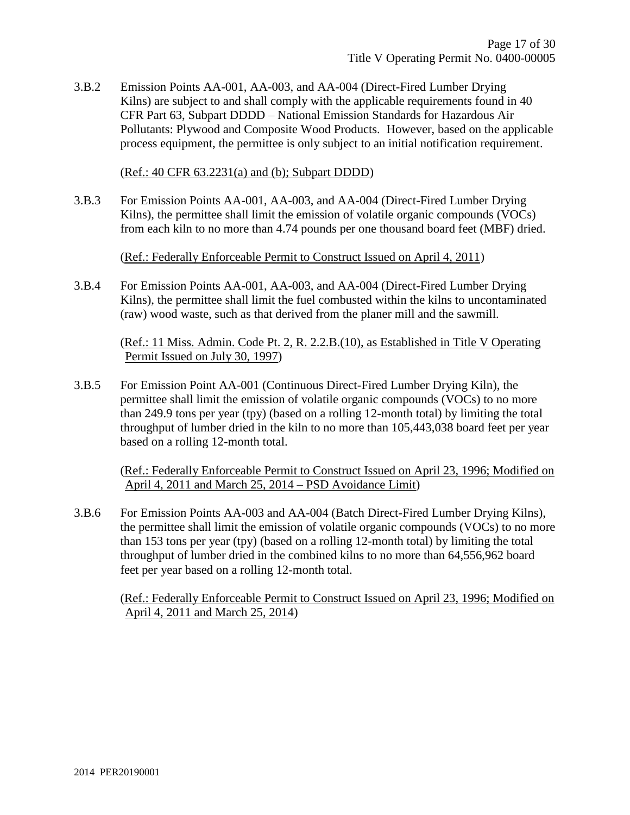3.B.2 Emission Points AA-001, AA-003, and AA-004 (Direct-Fired Lumber Drying Kilns) are subject to and shall comply with the applicable requirements found in 40 CFR Part 63, Subpart DDDD – National Emission Standards for Hazardous Air Pollutants: Plywood and Composite Wood Products. However, based on the applicable process equipment, the permittee is only subject to an initial notification requirement.

(Ref.: 40 CFR 63.2231(a) and (b); Subpart DDDD)

3.B.3 For Emission Points AA-001, AA-003, and AA-004 (Direct-Fired Lumber Drying Kilns), the permittee shall limit the emission of volatile organic compounds (VOCs) from each kiln to no more than 4.74 pounds per one thousand board feet (MBF) dried.

(Ref.: Federally Enforceable Permit to Construct Issued on April 4, 2011)

3.B.4 For Emission Points AA-001, AA-003, and AA-004 (Direct-Fired Lumber Drying Kilns), the permittee shall limit the fuel combusted within the kilns to uncontaminated (raw) wood waste, such as that derived from the planer mill and the sawmill.

(Ref.: 11 Miss. Admin. Code Pt. 2, R. 2.2.B.(10), as Established in Title V Operating Permit Issued on July 30, 1997)

3.B.5 For Emission Point AA-001 (Continuous Direct-Fired Lumber Drying Kiln), the permittee shall limit the emission of volatile organic compounds (VOCs) to no more than 249.9 tons per year (tpy) (based on a rolling 12-month total) by limiting the total throughput of lumber dried in the kiln to no more than 105,443,038 board feet per year based on a rolling 12-month total.

(Ref.: Federally Enforceable Permit to Construct Issued on April 23, 1996; Modified on April 4, 2011 and March 25, 2014 – PSD Avoidance Limit)

3.B.6 For Emission Points AA-003 and AA-004 (Batch Direct-Fired Lumber Drying Kilns), the permittee shall limit the emission of volatile organic compounds (VOCs) to no more than 153 tons per year (tpy) (based on a rolling 12-month total) by limiting the total throughput of lumber dried in the combined kilns to no more than 64,556,962 board feet per year based on a rolling 12-month total.

(Ref.: Federally Enforceable Permit to Construct Issued on April 23, 1996; Modified on April 4, 2011 and March 25, 2014)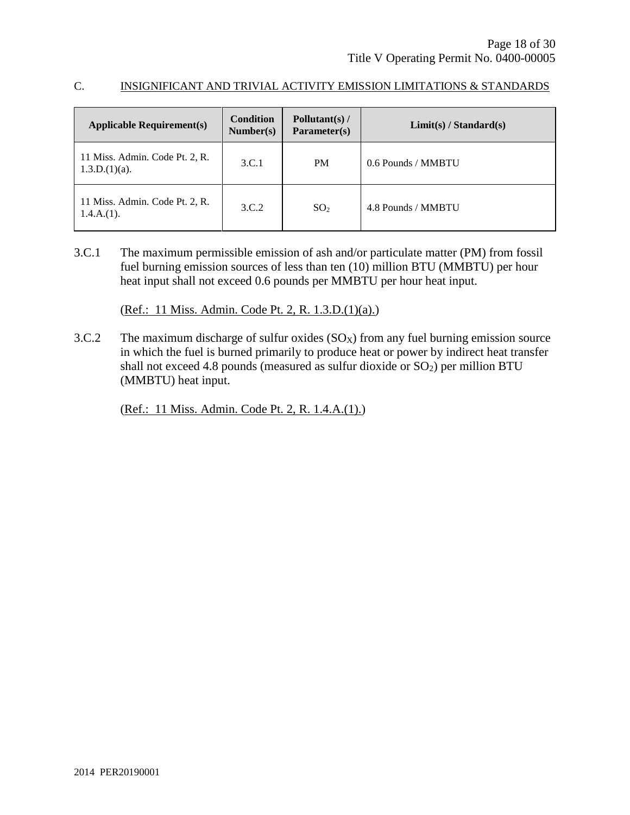#### C. INSIGNIFICANT AND TRIVIAL ACTIVITY EMISSION LIMITATIONS & STANDARDS

| <b>Applicable Requirement(s)</b>                   | <b>Condition</b><br>Number(s) | Pollutant(s) $/$<br>Parameter(s) | Limit(s) / Standard(s) |
|----------------------------------------------------|-------------------------------|----------------------------------|------------------------|
| 11 Miss. Admin. Code Pt. 2, R.<br>$1.3.D.(1)(a)$ . | 3.C.1                         | <b>PM</b>                        | 0.6 Pounds / MMBTU     |
| 11 Miss. Admin. Code Pt. 2, R.<br>$1.4.A.(1)$ .    | 3.C.2                         | SO <sub>2</sub>                  | 4.8 Pounds / MMBTU     |

3.C.1 The maximum permissible emission of ash and/or particulate matter (PM) from fossil fuel burning emission sources of less than ten (10) million BTU (MMBTU) per hour heat input shall not exceed 0.6 pounds per MMBTU per hour heat input.

(Ref.: 11 Miss. Admin. Code Pt. 2, R. 1.3.D.(1)(a).)

3.C.2 The maximum discharge of sulfur oxides  $(SO_X)$  from any fuel burning emission source in which the fuel is burned primarily to produce heat or power by indirect heat transfer shall not exceed 4.8 pounds (measured as sulfur dioxide or  $SO<sub>2</sub>$ ) per million BTU (MMBTU) heat input.

(Ref.: 11 Miss. Admin. Code Pt. 2, R. 1.4.A.(1).)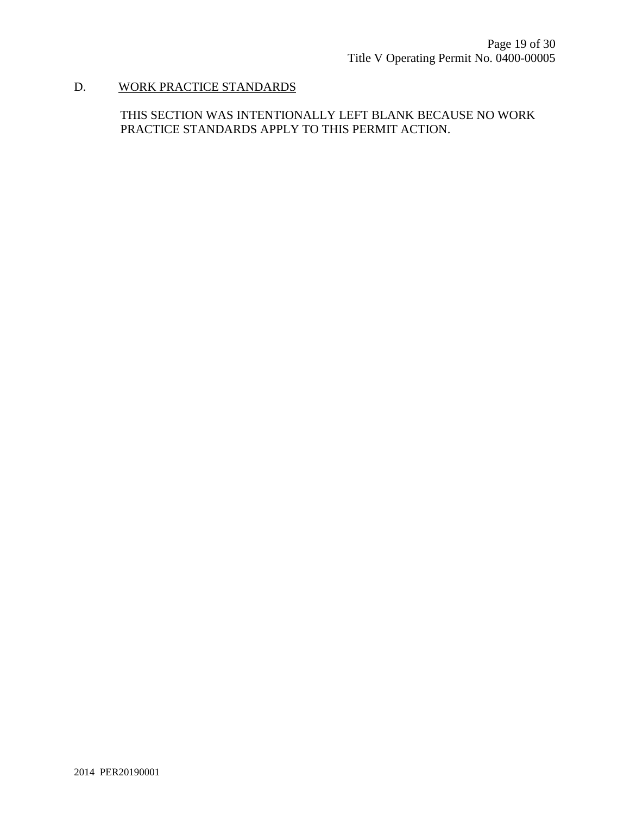# D. WORK PRACTICE STANDARDS

THIS SECTION WAS INTENTIONALLY LEFT BLANK BECAUSE NO WORK PRACTICE STANDARDS APPLY TO THIS PERMIT ACTION.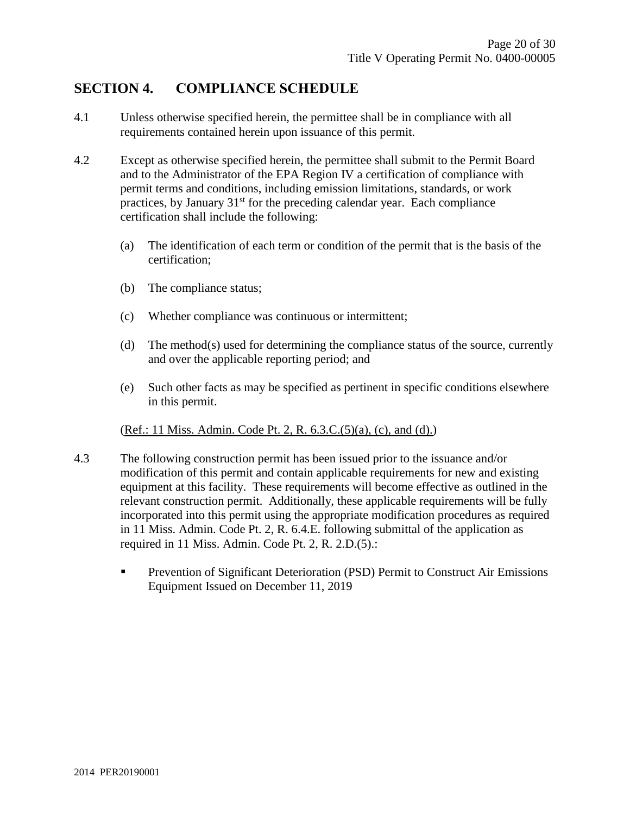## **SECTION 4. COMPLIANCE SCHEDULE**

- 4.1 Unless otherwise specified herein, the permittee shall be in compliance with all requirements contained herein upon issuance of this permit.
- 4.2 Except as otherwise specified herein, the permittee shall submit to the Permit Board and to the Administrator of the EPA Region IV a certification of compliance with permit terms and conditions, including emission limitations, standards, or work practices, by January  $31<sup>st</sup>$  for the preceding calendar year. Each compliance certification shall include the following:
	- (a) The identification of each term or condition of the permit that is the basis of the certification;
	- (b) The compliance status;
	- (c) Whether compliance was continuous or intermittent;
	- (d) The method(s) used for determining the compliance status of the source, currently and over the applicable reporting period; and
	- (e) Such other facts as may be specified as pertinent in specific conditions elsewhere in this permit.

#### (Ref.: 11 Miss. Admin. Code Pt. 2, R. 6.3.C.(5)(a), (c), and (d).)

- 4.3 The following construction permit has been issued prior to the issuance and/or modification of this permit and contain applicable requirements for new and existing equipment at this facility. These requirements will become effective as outlined in the relevant construction permit. Additionally, these applicable requirements will be fully incorporated into this permit using the appropriate modification procedures as required in 11 Miss. Admin. Code Pt. 2, R. 6.4.E. following submittal of the application as required in 11 Miss. Admin. Code Pt. 2, R. 2.D.(5).:
	- **Prevention of Significant Deterioration (PSD) Permit to Construct Air Emissions** Equipment Issued on December 11, 2019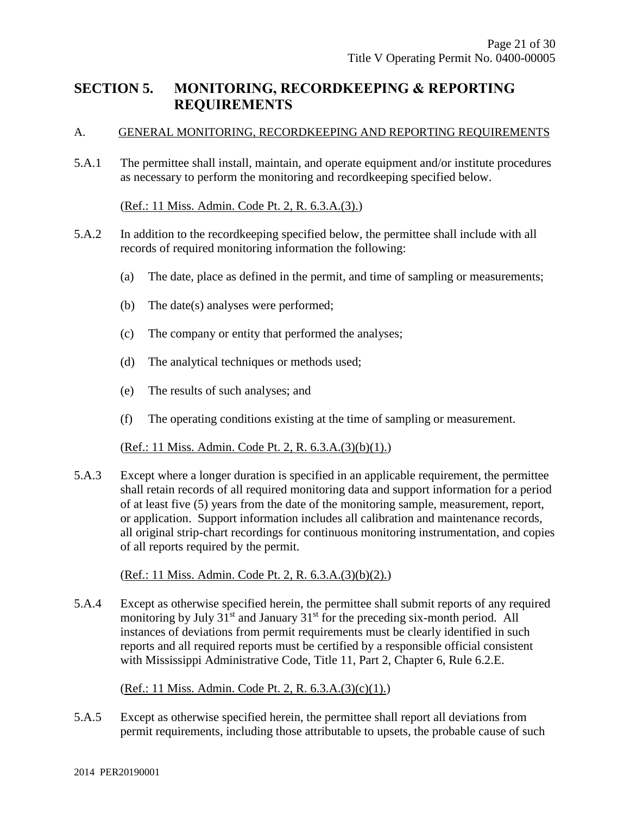## **SECTION 5. MONITORING, RECORDKEEPING & REPORTING REQUIREMENTS**

#### A. GENERAL MONITORING, RECORDKEEPING AND REPORTING REQUIREMENTS

5.A.1 The permittee shall install, maintain, and operate equipment and/or institute procedures as necessary to perform the monitoring and recordkeeping specified below.

#### (Ref.: 11 Miss. Admin. Code Pt. 2, R. 6.3.A.(3).)

- 5.A.2 In addition to the recordkeeping specified below, the permittee shall include with all records of required monitoring information the following:
	- (a) The date, place as defined in the permit, and time of sampling or measurements;
	- (b) The date(s) analyses were performed;
	- (c) The company or entity that performed the analyses;
	- (d) The analytical techniques or methods used;
	- (e) The results of such analyses; and
	- (f) The operating conditions existing at the time of sampling or measurement.

#### (Ref.: 11 Miss. Admin. Code Pt. 2, R. 6.3.A.(3)(b)(1).)

5.A.3 Except where a longer duration is specified in an applicable requirement, the permittee shall retain records of all required monitoring data and support information for a period of at least five (5) years from the date of the monitoring sample, measurement, report, or application. Support information includes all calibration and maintenance records, all original strip-chart recordings for continuous monitoring instrumentation, and copies of all reports required by the permit.

#### (Ref.: 11 Miss. Admin. Code Pt. 2, R. 6.3.A.(3)(b)(2).)

5.A.4 Except as otherwise specified herein, the permittee shall submit reports of any required monitoring by July  $31<sup>st</sup>$  and January  $31<sup>st</sup>$  for the preceding six-month period. All instances of deviations from permit requirements must be clearly identified in such reports and all required reports must be certified by a responsible official consistent with Mississippi Administrative Code, Title 11, Part 2, Chapter 6, Rule 6.2.E.

#### (Ref.: 11 Miss. Admin. Code Pt. 2, R. 6.3.A.(3)(c)(1).)

5.A.5 Except as otherwise specified herein, the permittee shall report all deviations from permit requirements, including those attributable to upsets, the probable cause of such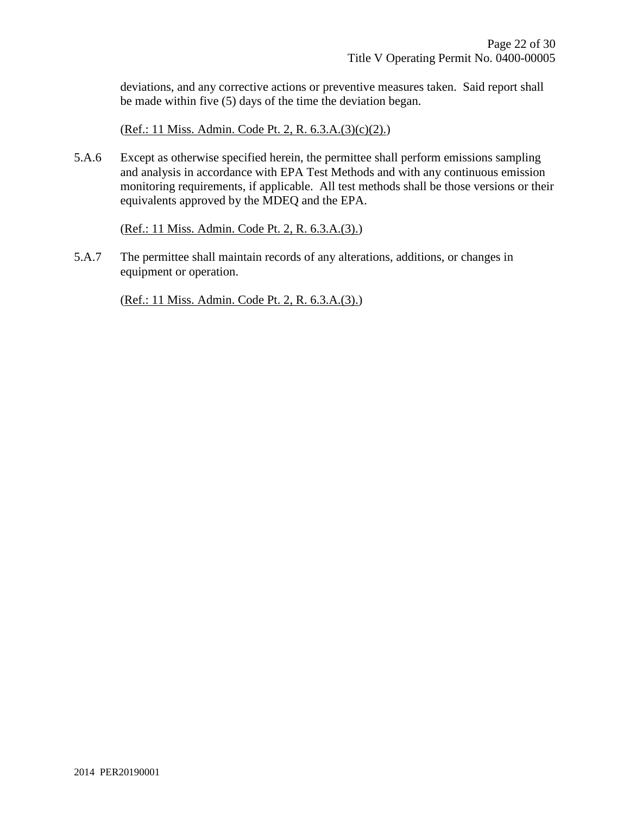deviations, and any corrective actions or preventive measures taken. Said report shall be made within five (5) days of the time the deviation began.

(Ref.: 11 Miss. Admin. Code Pt. 2, R. 6.3.A.(3)(c)(2).)

5.A.6 Except as otherwise specified herein, the permittee shall perform emissions sampling and analysis in accordance with EPA Test Methods and with any continuous emission monitoring requirements, if applicable. All test methods shall be those versions or their equivalents approved by the MDEQ and the EPA.

(Ref.: 11 Miss. Admin. Code Pt. 2, R. 6.3.A.(3).)

5.A.7 The permittee shall maintain records of any alterations, additions, or changes in equipment or operation.

(Ref.: 11 Miss. Admin. Code Pt. 2, R. 6.3.A.(3).)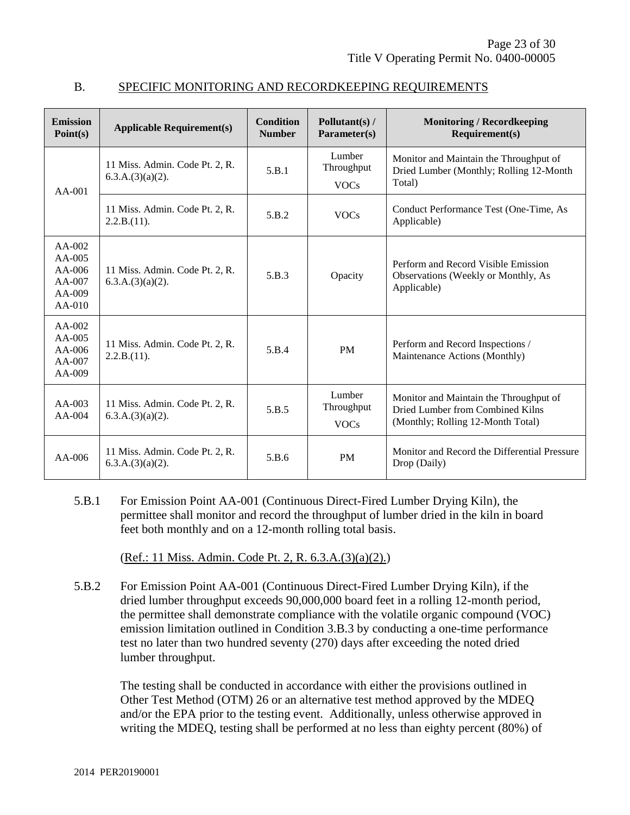| <b>Emission</b><br>Point(s)                                    | <b>Applicable Requirement(s)</b>                      | <b>Condition</b><br><b>Number</b> | Pollutant(s) /<br>Parameter(s)      | <b>Monitoring / Recordkeeping</b><br>Requirement(s)                                                             |
|----------------------------------------------------------------|-------------------------------------------------------|-----------------------------------|-------------------------------------|-----------------------------------------------------------------------------------------------------------------|
| $AA-001$                                                       | 11 Miss. Admin. Code Pt. 2, R.<br>$6.3.A.(3)(a)(2)$ . | 5.B.1                             | Lumber<br>Throughput<br><b>VOCs</b> | Monitor and Maintain the Throughput of<br>Dried Lumber (Monthly; Rolling 12-Month<br>Total)                     |
|                                                                | 11 Miss. Admin. Code Pt. 2, R.<br>2.2.B.(11).         | 5.B.2                             | <b>VOCs</b>                         | Conduct Performance Test (One-Time, As<br>Applicable)                                                           |
| $AA-002$<br>$AA-005$<br>AA-006<br>AA-007<br>AA-009<br>$AA-010$ | 11 Miss. Admin. Code Pt. 2, R.<br>6.3.A.(3)(a)(2).    | 5.B.3                             | Opacity                             | Perform and Record Visible Emission<br>Observations (Weekly or Monthly, As<br>Applicable)                       |
| $AA-002$<br>AA-005<br>$AA-006$<br>AA-007<br>AA-009             | 11 Miss. Admin. Code Pt. 2, R.<br>2.2.B.(11).         | 5.B.4                             | <b>PM</b>                           | Perform and Record Inspections /<br>Maintenance Actions (Monthly)                                               |
| $AA-003$<br>$AA-004$                                           | 11 Miss. Admin. Code Pt. 2, R.<br>$6.3.A.(3)(a)(2)$ . | 5.B.5                             | Lumber<br>Throughput<br><b>VOCs</b> | Monitor and Maintain the Throughput of<br>Dried Lumber from Combined Kilns<br>(Monthly; Rolling 12-Month Total) |
| $AA-006$                                                       | 11 Miss. Admin. Code Pt. 2, R.<br>6.3.A.(3)(a)(2).    | 5.B.6                             | <b>PM</b>                           | Monitor and Record the Differential Pressure<br>Drop (Daily)                                                    |

#### B. SPECIFIC MONITORING AND RECORDKEEPING REQUIREMENTS

5.B.1 For Emission Point AA-001 (Continuous Direct-Fired Lumber Drying Kiln), the permittee shall monitor and record the throughput of lumber dried in the kiln in board feet both monthly and on a 12-month rolling total basis.

(Ref.: 11 Miss. Admin. Code Pt. 2, R. 6.3.A.(3)(a)(2).)

5.B.2 For Emission Point AA-001 (Continuous Direct-Fired Lumber Drying Kiln), if the dried lumber throughput exceeds 90,000,000 board feet in a rolling 12-month period, the permittee shall demonstrate compliance with the volatile organic compound (VOC) emission limitation outlined in Condition 3.B.3 by conducting a one-time performance test no later than two hundred seventy (270) days after exceeding the noted dried lumber throughput.

The testing shall be conducted in accordance with either the provisions outlined in Other Test Method (OTM) 26 or an alternative test method approved by the MDEQ and/or the EPA prior to the testing event. Additionally, unless otherwise approved in writing the MDEQ, testing shall be performed at no less than eighty percent (80%) of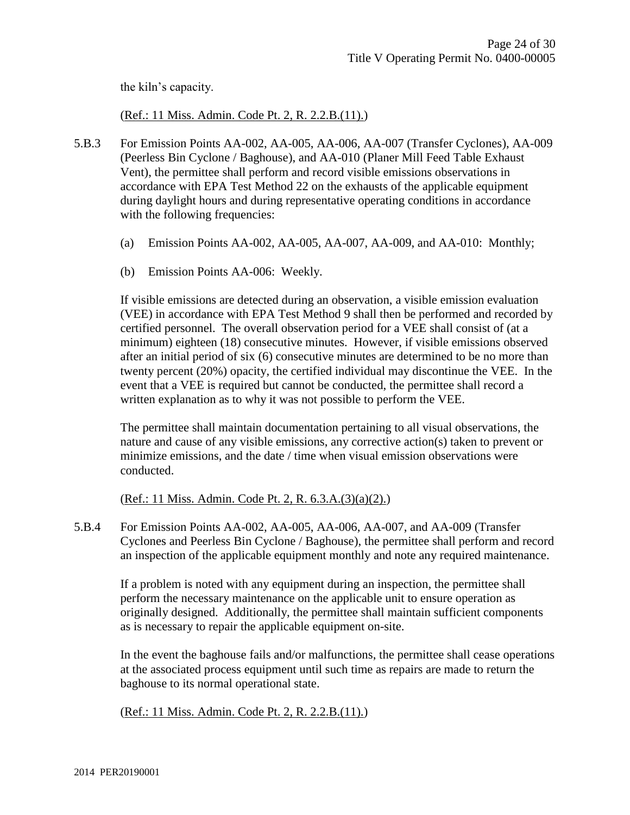the kiln's capacity.

#### (Ref.: 11 Miss. Admin. Code Pt. 2, R. 2.2.B.(11).)

- 5.B.3 For Emission Points AA-002, AA-005, AA-006, AA-007 (Transfer Cyclones), AA-009 (Peerless Bin Cyclone / Baghouse), and AA-010 (Planer Mill Feed Table Exhaust Vent), the permittee shall perform and record visible emissions observations in accordance with EPA Test Method 22 on the exhausts of the applicable equipment during daylight hours and during representative operating conditions in accordance with the following frequencies:
	- (a) Emission Points AA-002, AA-005, AA-007, AA-009, and AA-010: Monthly;
	- (b) Emission Points AA-006: Weekly.

If visible emissions are detected during an observation, a visible emission evaluation (VEE) in accordance with EPA Test Method 9 shall then be performed and recorded by certified personnel. The overall observation period for a VEE shall consist of (at a minimum) eighteen (18) consecutive minutes. However, if visible emissions observed after an initial period of six (6) consecutive minutes are determined to be no more than twenty percent (20%) opacity, the certified individual may discontinue the VEE. In the event that a VEE is required but cannot be conducted, the permittee shall record a written explanation as to why it was not possible to perform the VEE.

The permittee shall maintain documentation pertaining to all visual observations, the nature and cause of any visible emissions, any corrective action(s) taken to prevent or minimize emissions, and the date  $/$  time when visual emission observations were conducted.

(Ref.: 11 Miss. Admin. Code Pt. 2, R. 6.3.A.(3)(a)(2).)

5.B.4 For Emission Points AA-002, AA-005, AA-006, AA-007, and AA-009 (Transfer Cyclones and Peerless Bin Cyclone / Baghouse), the permittee shall perform and record an inspection of the applicable equipment monthly and note any required maintenance.

If a problem is noted with any equipment during an inspection, the permittee shall perform the necessary maintenance on the applicable unit to ensure operation as originally designed. Additionally, the permittee shall maintain sufficient components as is necessary to repair the applicable equipment on-site.

In the event the baghouse fails and/or malfunctions, the permittee shall cease operations at the associated process equipment until such time as repairs are made to return the baghouse to its normal operational state.

(Ref.: 11 Miss. Admin. Code Pt. 2, R. 2.2.B.(11).)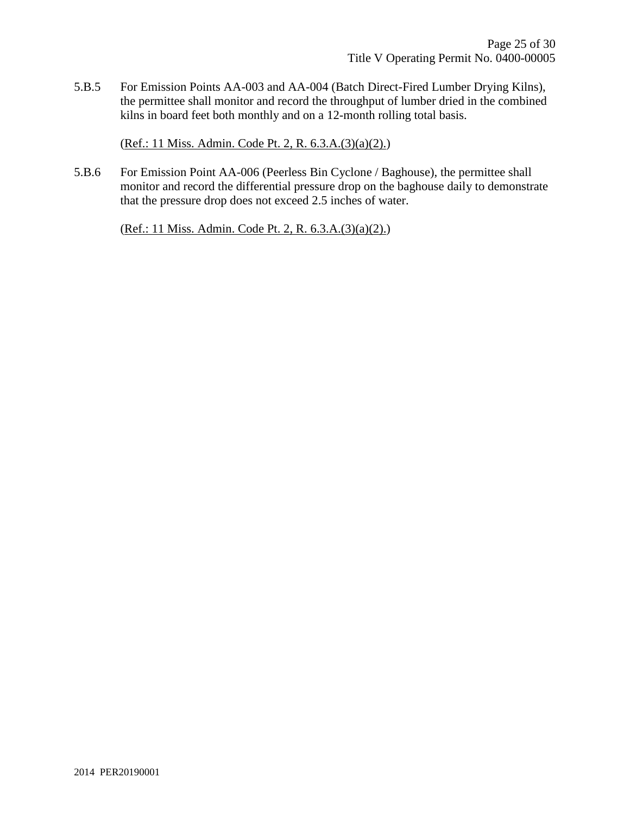5.B.5 For Emission Points AA-003 and AA-004 (Batch Direct-Fired Lumber Drying Kilns), the permittee shall monitor and record the throughput of lumber dried in the combined kilns in board feet both monthly and on a 12-month rolling total basis.

(Ref.: 11 Miss. Admin. Code Pt. 2, R. 6.3.A.(3)(a)(2).)

5.B.6 For Emission Point AA-006 (Peerless Bin Cyclone / Baghouse), the permittee shall monitor and record the differential pressure drop on the baghouse daily to demonstrate that the pressure drop does not exceed 2.5 inches of water.

(Ref.: 11 Miss. Admin. Code Pt. 2, R. 6.3.A.(3)(a)(2).)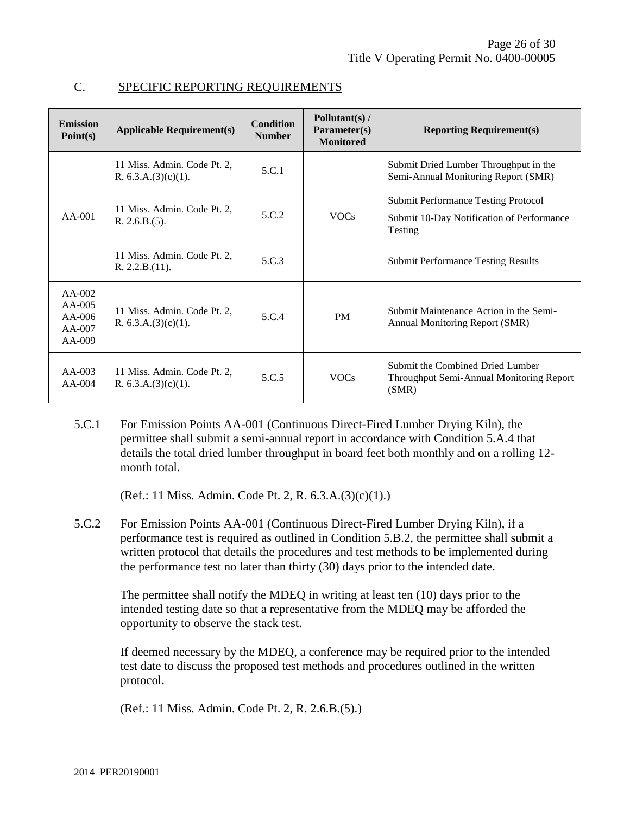| <b>Emission</b><br>Point(s)                              | <b>Applicable Requirement(s)</b>                      | <b>Condition</b><br><b>Number</b> | Pollutant(s) /<br>Parameter(s)<br><b>Monitored</b> | <b>Reporting Requirement(s)</b>                                                       |
|----------------------------------------------------------|-------------------------------------------------------|-----------------------------------|----------------------------------------------------|---------------------------------------------------------------------------------------|
| $AA-001$                                                 | 11 Miss. Admin. Code Pt. 2,<br>R. $6.3.A.(3)(c)(1)$ . | 5.C.1                             | <b>VOCs</b>                                        | Submit Dried Lumber Throughput in the<br>Semi-Annual Monitoring Report (SMR)          |
|                                                          | 11 Miss. Admin. Code Pt. 2.<br>R. 2.6.B.(5).          | 5.C.2                             |                                                    | <b>Submit Performance Testing Protocol</b>                                            |
|                                                          |                                                       |                                   |                                                    | Submit 10-Day Notification of Performance<br>Testing                                  |
|                                                          | 11 Miss. Admin. Code Pt. 2,<br>R. 2.2.B.(11).         | 5.C.3                             |                                                    | <b>Submit Performance Testing Results</b>                                             |
| $AA-002$<br>$AA-005$<br>$AA-006$<br>$AA-007$<br>$AA-009$ | 11 Miss. Admin. Code Pt. 2.<br>R. $6.3.A.(3)(c)(1)$ . | 5.C.4                             | <b>PM</b>                                          | Submit Maintenance Action in the Semi-<br>Annual Monitoring Report (SMR)              |
| $AA-003$<br>$AA-004$                                     | 11 Miss. Admin. Code Pt. 2,<br>R. $6.3.A.(3)(c)(1)$ . | 5.C.5                             | <b>VOCs</b>                                        | Submit the Combined Dried Lumber<br>Throughput Semi-Annual Monitoring Report<br>(SMR) |

#### C. SPECIFIC REPORTING REQUIREMENTS

5.C.1 For Emission Points AA-001 (Continuous Direct-Fired Lumber Drying Kiln), the permittee shall submit a semi-annual report in accordance with Condition 5.A.4 that details the total dried lumber throughput in board feet both monthly and on a rolling 12 month total.

(Ref.: 11 Miss. Admin. Code Pt. 2, R. 6.3.A.(3)(c)(1).)

5.C.2 For Emission Points AA-001 (Continuous Direct-Fired Lumber Drying Kiln), if a performance test is required as outlined in Condition 5.B.2, the permittee shall submit a written protocol that details the procedures and test methods to be implemented during the performance test no later than thirty (30) days prior to the intended date.

The permittee shall notify the MDEQ in writing at least ten (10) days prior to the intended testing date so that a representative from the MDEQ may be afforded the opportunity to observe the stack test.

If deemed necessary by the MDEQ, a conference may be required prior to the intended test date to discuss the proposed test methods and procedures outlined in the written protocol.

(Ref.: 11 Miss. Admin. Code Pt. 2, R. 2.6.B.(5).)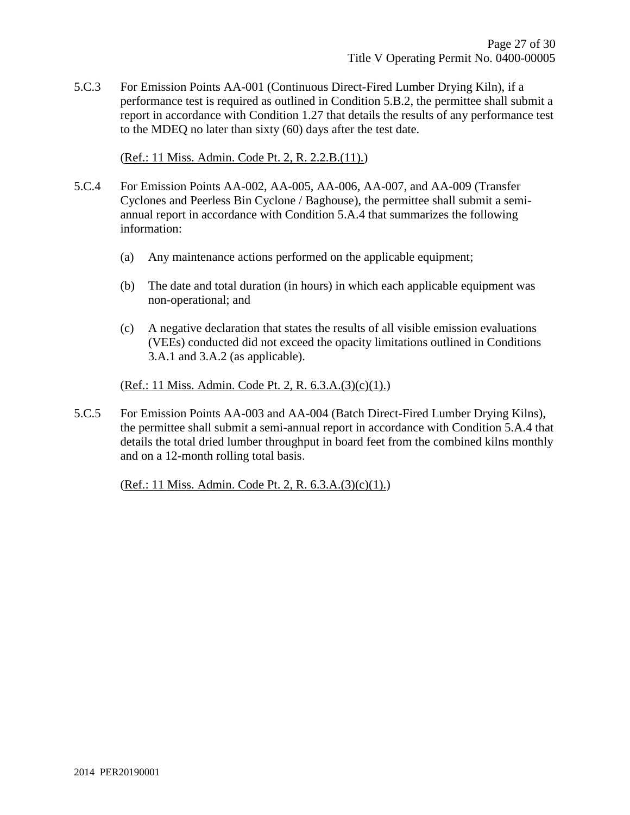5.C.3 For Emission Points AA-001 (Continuous Direct-Fired Lumber Drying Kiln), if a performance test is required as outlined in Condition 5.B.2, the permittee shall submit a report in accordance with Condition 1.27 that details the results of any performance test to the MDEQ no later than sixty (60) days after the test date.

(Ref.: 11 Miss. Admin. Code Pt. 2, R. 2.2.B.(11).)

- 5.C.4 For Emission Points AA-002, AA-005, AA-006, AA-007, and AA-009 (Transfer Cyclones and Peerless Bin Cyclone / Baghouse), the permittee shall submit a semiannual report in accordance with Condition 5.A.4 that summarizes the following information:
	- (a) Any maintenance actions performed on the applicable equipment;
	- (b) The date and total duration (in hours) in which each applicable equipment was non-operational; and
	- (c) A negative declaration that states the results of all visible emission evaluations (VEEs) conducted did not exceed the opacity limitations outlined in Conditions 3.A.1 and 3.A.2 (as applicable).

(Ref.: 11 Miss. Admin. Code Pt. 2, R. 6.3.A.(3)(c)(1).)

5.C.5 For Emission Points AA-003 and AA-004 (Batch Direct-Fired Lumber Drying Kilns), the permittee shall submit a semi-annual report in accordance with Condition 5.A.4 that details the total dried lumber throughput in board feet from the combined kilns monthly and on a 12-month rolling total basis.

(Ref.: 11 Miss. Admin. Code Pt. 2, R. 6.3.A.(3)(c)(1).)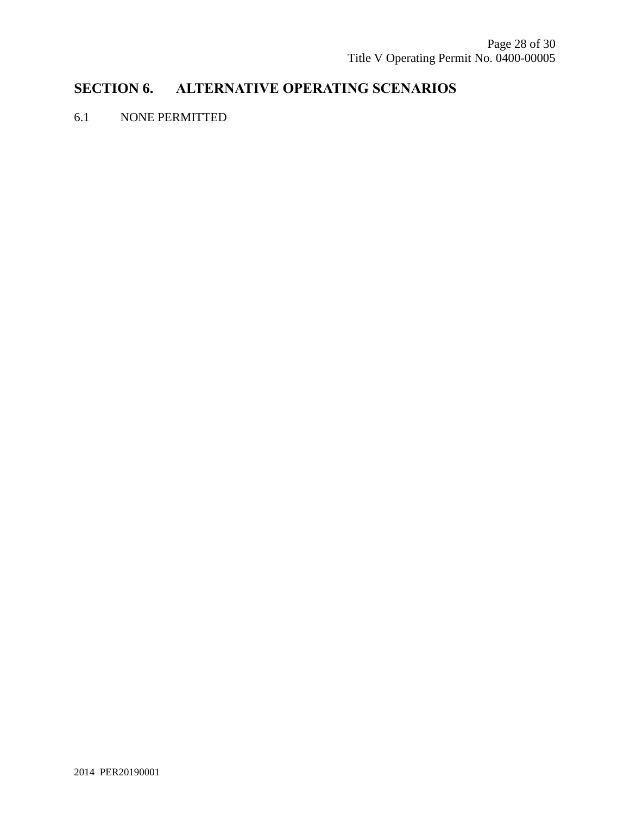# **SECTION 6. ALTERNATIVE OPERATING SCENARIOS**

#### 6.1 NONE PERMITTED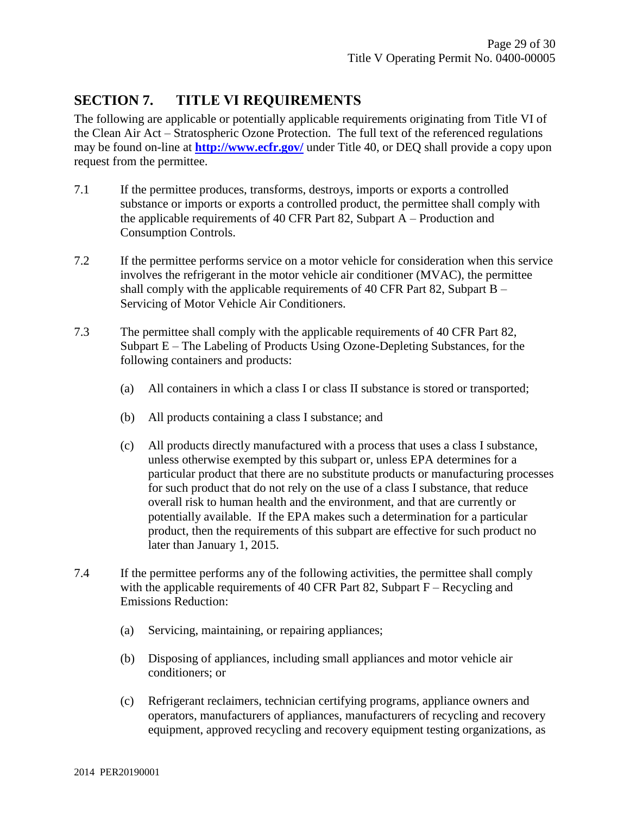## **SECTION 7. TITLE VI REQUIREMENTS**

The following are applicable or potentially applicable requirements originating from Title VI of the Clean Air Act – Stratospheric Ozone Protection. The full text of the referenced regulations may be found on-line at **<http://www.ecfr.gov/>** under Title 40, or DEQ shall provide a copy upon request from the permittee.

- 7.1 If the permittee produces, transforms, destroys, imports or exports a controlled substance or imports or exports a controlled product, the permittee shall comply with the applicable requirements of 40 CFR Part 82, Subpart A – Production and Consumption Controls.
- 7.2 If the permittee performs service on a motor vehicle for consideration when this service involves the refrigerant in the motor vehicle air conditioner (MVAC), the permittee shall comply with the applicable requirements of 40 CFR Part 82, Subpart  $B -$ Servicing of Motor Vehicle Air Conditioners.
- 7.3 The permittee shall comply with the applicable requirements of 40 CFR Part 82, Subpart E – The Labeling of Products Using Ozone-Depleting Substances, for the following containers and products:
	- (a) All containers in which a class I or class II substance is stored or transported;
	- (b) All products containing a class I substance; and
	- (c) All products directly manufactured with a process that uses a class I substance, unless otherwise exempted by this subpart or, unless EPA determines for a particular product that there are no substitute products or manufacturing processes for such product that do not rely on the use of a class I substance, that reduce overall risk to human health and the environment, and that are currently or potentially available. If the EPA makes such a determination for a particular product, then the requirements of this subpart are effective for such product no later than January 1, 2015.
- 7.4 If the permittee performs any of the following activities, the permittee shall comply with the applicable requirements of 40 CFR Part 82, Subpart  $F -$ Recycling and Emissions Reduction:
	- (a) Servicing, maintaining, or repairing appliances;
	- (b) Disposing of appliances, including small appliances and motor vehicle air conditioners; or
	- (c) Refrigerant reclaimers, technician certifying programs, appliance owners and operators, manufacturers of appliances, manufacturers of recycling and recovery equipment, approved recycling and recovery equipment testing organizations, as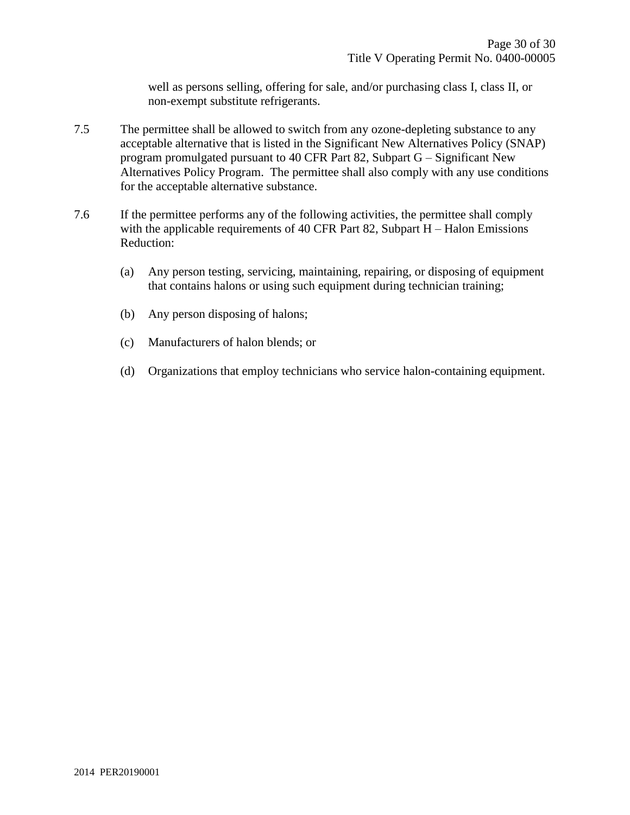well as persons selling, offering for sale, and/or purchasing class I, class II, or non-exempt substitute refrigerants.

- 7.5 The permittee shall be allowed to switch from any ozone-depleting substance to any acceptable alternative that is listed in the Significant New Alternatives Policy (SNAP) program promulgated pursuant to 40 CFR Part 82, Subpart G – Significant New Alternatives Policy Program. The permittee shall also comply with any use conditions for the acceptable alternative substance.
- <span id="page-29-0"></span>7.6 If the permittee performs any of the following activities, the permittee shall comply with the applicable requirements of 40 CFR Part 82, Subpart H – Halon Emissions Reduction:
	- (a) Any person testing, servicing, maintaining, repairing, or disposing of equipment that contains halons or using such equipment during technician training;
	- (b) Any person disposing of halons;
	- (c) Manufacturers of halon blends; or
	- (d) Organizations that employ technicians who service halon-containing equipment.